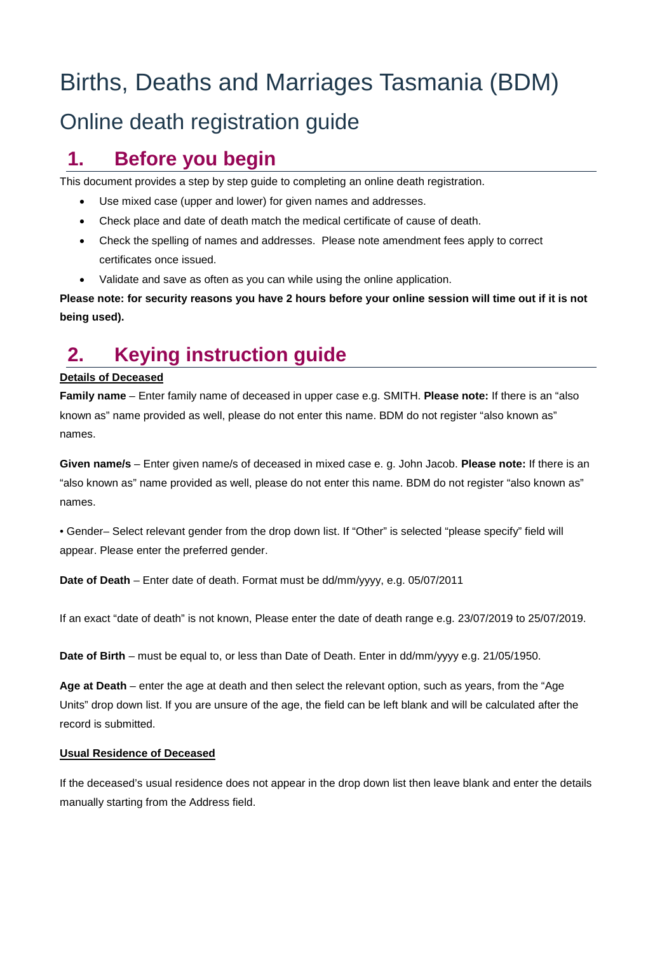# Births, Deaths and Marriages Tasmania (BDM)

# Online death registration guide

# **1. Before you begin**

This document provides a step by step guide to completing an online death registration.

- Use mixed case (upper and lower) for given names and addresses.
- Check place and date of death match the medical certificate of cause of death.
- Check the spelling of names and addresses. Please note amendment fees apply to correct certificates once issued.
- Validate and save as often as you can while using the online application.

**Please note: for security reasons you have 2 hours before your online session will time out if it is not being used).**

# **2. Keying instruction guide**

# **Details of Deceased**

**Family name** – Enter family name of deceased in upper case e.g. SMITH. **Please note:** If there is an "also known as" name provided as well, please do not enter this name. BDM do not register "also known as" names.

**Given name/s** – Enter given name/s of deceased in mixed case e. g. John Jacob. **Please note:** If there is an "also known as" name provided as well, please do not enter this name. BDM do not register "also known as" names.

• Gender– Select relevant gender from the drop down list. If "Other" is selected "please specify" field will appear. Please enter the preferred gender.

**Date of Death** – Enter date of death. Format must be dd/mm/yyyy, e.g. 05/07/2011

If an exact "date of death" is not known, Please enter the date of death range e.g. 23/07/2019 to 25/07/2019.

Date of Birth – must be equal to, or less than Date of Death. Enter in dd/mm/yyyy e.g. 21/05/1950.

**Age at Death** – enter the age at death and then select the relevant option, such as years, from the "Age Units" drop down list. If you are unsure of the age, the field can be left blank and will be calculated after the record is submitted.

### **Usual Residence of Deceased**

If the deceased's usual residence does not appear in the drop down list then leave blank and enter the details manually starting from the Address field.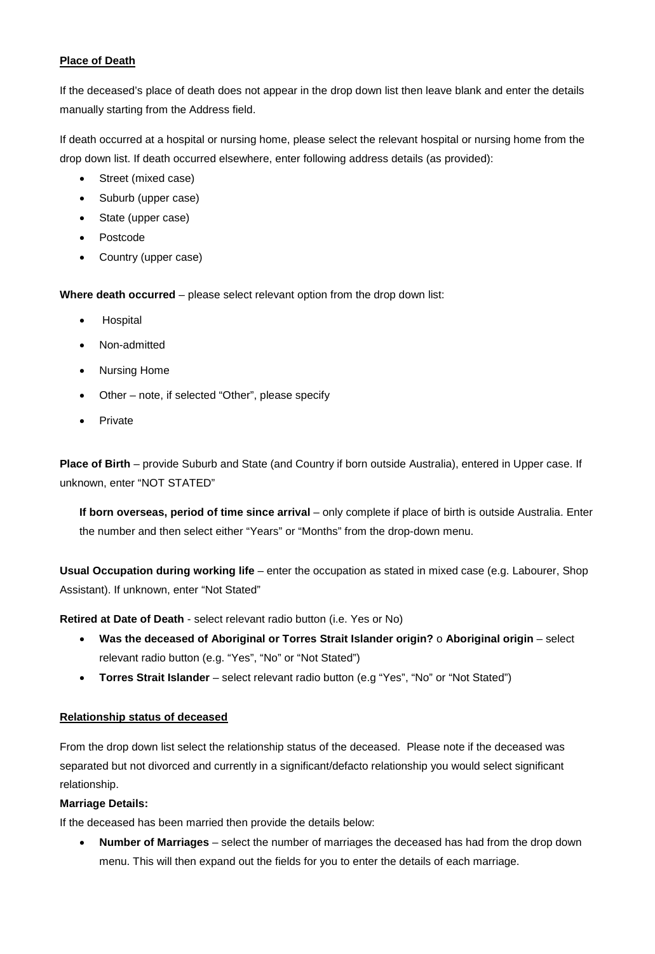# **Place of Death**

If the deceased's place of death does not appear in the drop down list then leave blank and enter the details manually starting from the Address field.

If death occurred at a hospital or nursing home, please select the relevant hospital or nursing home from the drop down list. If death occurred elsewhere, enter following address details (as provided):

- Street (mixed case)
- Suburb (upper case)
- State (upper case)
- Postcode
- Country (upper case)

**Where death occurred** – please select relevant option from the drop down list:

- **Hospital**
- Non-admitted
- Nursing Home
- Other note, if selected "Other", please specify
- **Private**

**Place of Birth** – provide Suburb and State (and Country if born outside Australia), entered in Upper case. If unknown, enter "NOT STATED"

**If born overseas, period of time since arrival** – only complete if place of birth is outside Australia. Enter the number and then select either "Years" or "Months" from the drop-down menu.

**Usual Occupation during working life** – enter the occupation as stated in mixed case (e.g. Labourer, Shop Assistant). If unknown, enter "Not Stated"

**Retired at Date of Death** - select relevant radio button (i.e. Yes or No)

- **Was the deceased of Aboriginal or Torres Strait Islander origin?** o **Aboriginal origin**  select relevant radio button (e.g. "Yes", "No" or "Not Stated")
- **Torres Strait Islander**  select relevant radio button (e.g "Yes", "No" or "Not Stated")

# **Relationship status of deceased**

From the drop down list select the relationship status of the deceased. Please note if the deceased was separated but not divorced and currently in a significant/defacto relationship you would select significant relationship.

# **Marriage Details:**

If the deceased has been married then provide the details below:

• **Number of Marriages** – select the number of marriages the deceased has had from the drop down menu. This will then expand out the fields for you to enter the details of each marriage.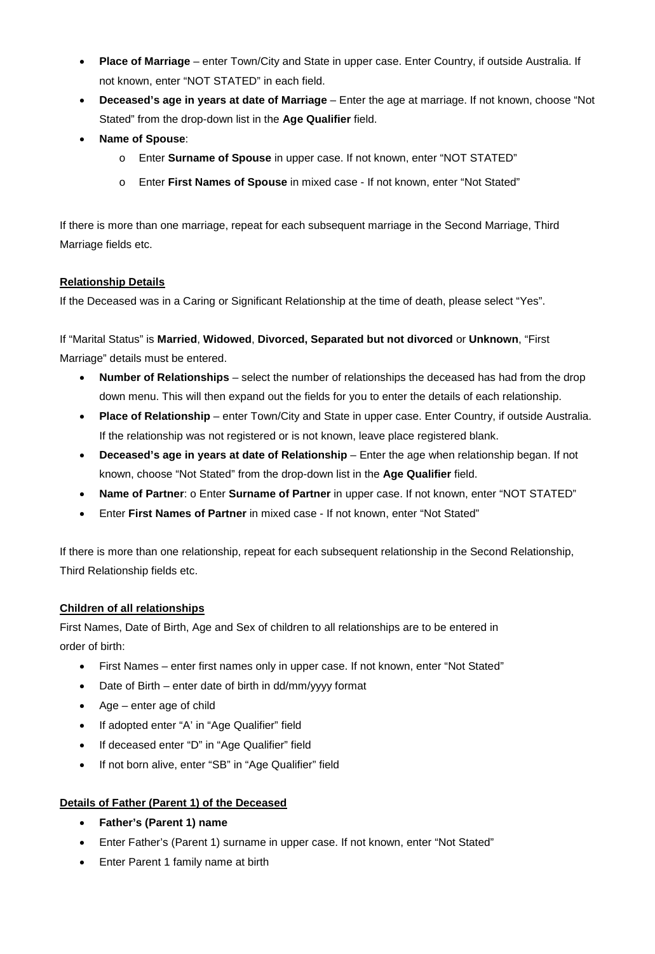- **Place of Marriage**  enter Town/City and State in upper case. Enter Country, if outside Australia. If not known, enter "NOT STATED" in each field.
- **Deceased's age in years at date of Marriage** Enter the age at marriage. If not known, choose "Not Stated" from the drop-down list in the **Age Qualifier** field.
- **Name of Spouse**:
	- o Enter **Surname of Spouse** in upper case. If not known, enter "NOT STATED"
	- o Enter **First Names of Spouse** in mixed case If not known, enter "Not Stated"

If there is more than one marriage, repeat for each subsequent marriage in the Second Marriage, Third Marriage fields etc.

# **Relationship Details**

If the Deceased was in a Caring or Significant Relationship at the time of death, please select "Yes".

If "Marital Status" is **Married**, **Widowed**, **Divorced, Separated but not divorced** or **Unknown**, "First Marriage" details must be entered.

- **Number of Relationships**  select the number of relationships the deceased has had from the drop down menu. This will then expand out the fields for you to enter the details of each relationship.
- **Place of Relationship**  enter Town/City and State in upper case. Enter Country, if outside Australia. If the relationship was not registered or is not known, leave place registered blank.
- **Deceased's age in years at date of Relationship**  Enter the age when relationship began. If not known, choose "Not Stated" from the drop-down list in the **Age Qualifier** field.
- **Name of Partner**: o Enter **Surname of Partner** in upper case. If not known, enter "NOT STATED"
- Enter **First Names of Partner** in mixed case If not known, enter "Not Stated"

If there is more than one relationship, repeat for each subsequent relationship in the Second Relationship, Third Relationship fields etc.

### **Children of all relationships**

First Names, Date of Birth, Age and Sex of children to all relationships are to be entered in order of birth:

- First Names enter first names only in upper case. If not known, enter "Not Stated"
- Date of Birth enter date of birth in dd/mm/yyyy format
- Age enter age of child
- If adopted enter "A' in "Age Qualifier" field
- If deceased enter "D" in "Age Qualifier" field
- If not born alive, enter "SB" in "Age Qualifier" field

### **Details of Father (Parent 1) of the Deceased**

- **Father's (Parent 1) name**
- Enter Father's (Parent 1) surname in upper case. If not known, enter "Not Stated"
- Enter Parent 1 family name at birth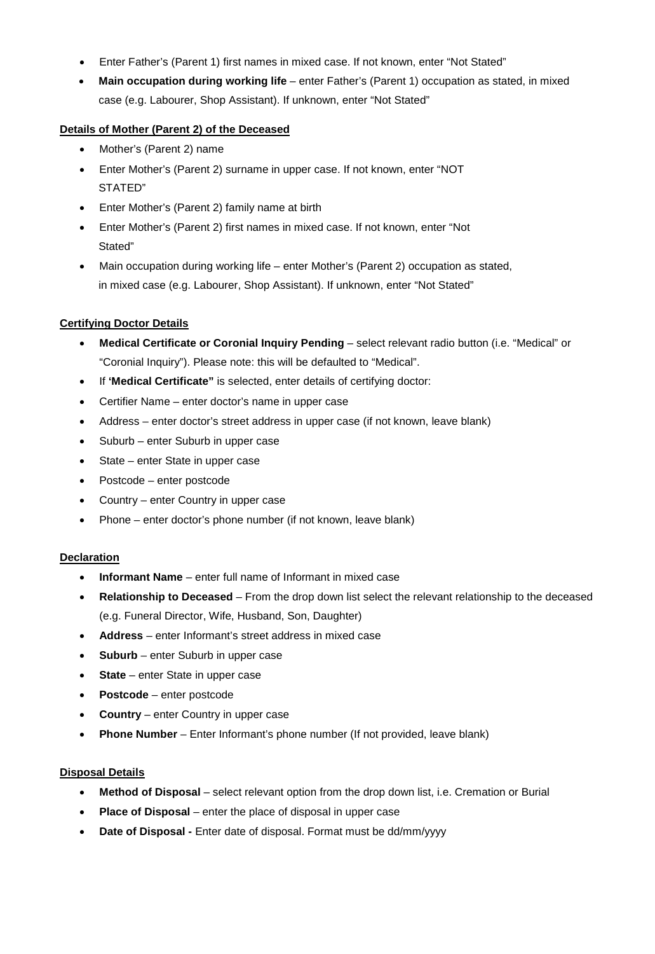- Enter Father's (Parent 1) first names in mixed case. If not known, enter "Not Stated"
- **Main occupation during working life**  enter Father's (Parent 1) occupation as stated, in mixed case (e.g. Labourer, Shop Assistant). If unknown, enter "Not Stated"

# **Details of Mother (Parent 2) of the Deceased**

- Mother's (Parent 2) name
- Enter Mother's (Parent 2) surname in upper case. If not known, enter "NOT STATED"
- Enter Mother's (Parent 2) family name at birth
- Enter Mother's (Parent 2) first names in mixed case. If not known, enter "Not Stated"
- Main occupation during working life enter Mother's (Parent 2) occupation as stated, in mixed case (e.g. Labourer, Shop Assistant). If unknown, enter "Not Stated"

### **Certifying Doctor Details**

- **Medical Certificate or Coronial Inquiry Pending**  select relevant radio button (i.e. "Medical" or "Coronial Inquiry"). Please note: this will be defaulted to "Medical".
- If **'Medical Certificate"** is selected, enter details of certifying doctor:
- Certifier Name enter doctor's name in upper case
- Address enter doctor's street address in upper case (if not known, leave blank)
- Suburb enter Suburb in upper case
- State enter State in upper case
- Postcode enter postcode
- Country enter Country in upper case
- Phone enter doctor's phone number (if not known, leave blank)

### **Declaration**

- **Informant Name**  enter full name of Informant in mixed case
- **Relationship to Deceased**  From the drop down list select the relevant relationship to the deceased (e.g. Funeral Director, Wife, Husband, Son, Daughter)
- **Address**  enter Informant's street address in mixed case
- **Suburb**  enter Suburb in upper case
- **State**  enter State in upper case
- **Postcode**  enter postcode
- **Country**  enter Country in upper case
- **Phone Number**  Enter Informant's phone number (If not provided, leave blank)

### **Disposal Details**

- **Method of Disposal**  select relevant option from the drop down list, i.e. Cremation or Burial
- **Place of Disposal**  enter the place of disposal in upper case
- **Date of Disposal -** Enter date of disposal. Format must be dd/mm/yyyy